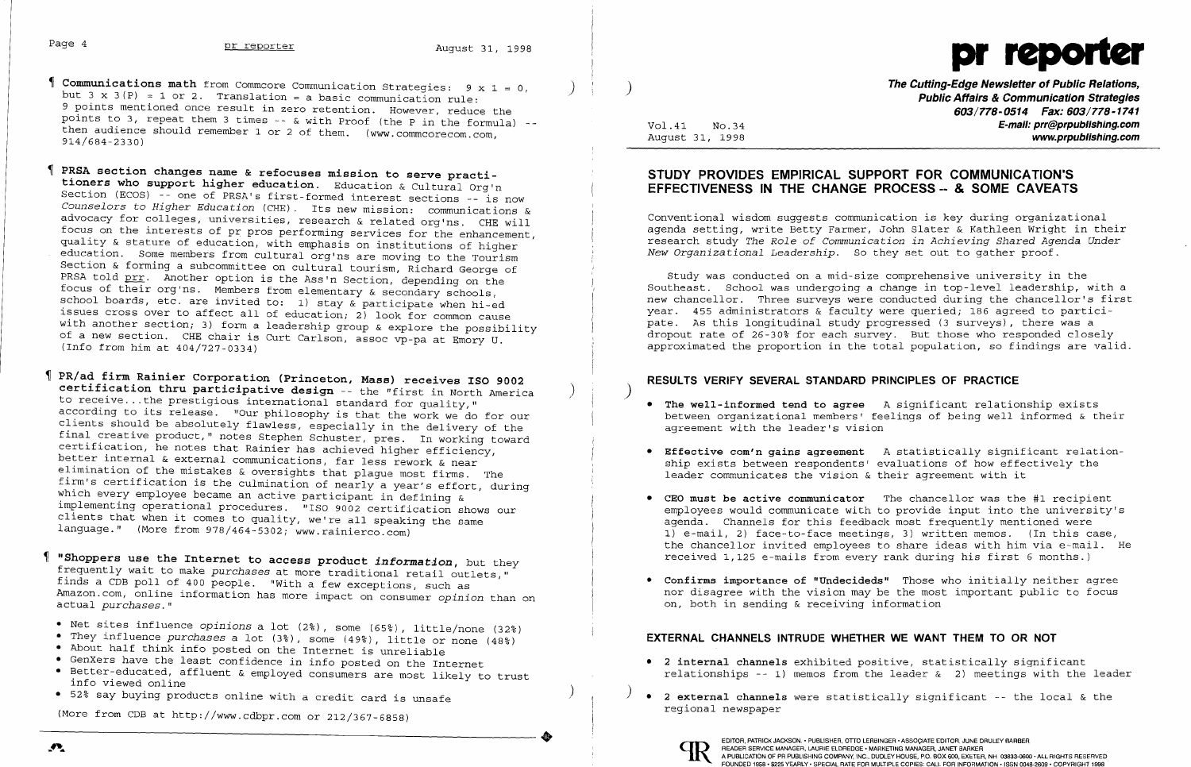

Vo1.41 No.34 August 31, 1998 **603/778-0514 Fax: 603/778-1741 E-mail: prr@prpubJishing.com www.prpubJishing.com** 

### **STUDY PROVIDES EMPIRICAL SUPPORT FOR COMMUNICATION'S EFFECTIVENESS IN THE CHANGE PROCESS -- & SOME CAVEATS**

Conventional wisdom suggests communication is key during organizational agenda setting, write Betty Farmer, John Slater & Kathleen Wright in their research study *The Role* of *Communication in Achieving Shared Agenda Under New Organizational Leadership.* So they set out to gather proof.

Study was conducted on a mid-size comprehensive university in the Southeast. School was undergoing a change in top-level leadership, with a new chancellor. Three surveys were conducted during the chancellor's first year. 455 administrators & faculty were queried; 186 agreed to participate. As this longitudinal study progressed (3 surveys), there was a dropout rate of 26-30% for each survey. But those who responded closely approximated the proportion in the total population, so findings are valid.

- Communications math from Commcore Communication Strategies: 9 x 1 = 0, (1) (1991) (1992) The Cutting-Edge Newsletter of Public Relations,<br>but 3 x 3(P) = 1 or 2. Translation = a basic communication rule: (1993) (1994) (1994 9 points mentioned once result in zero retention. However, reduce the points to 3, repeat them 3 times - & with Proof (the P in the formula) then audience should remember 1 or 2 of them. (www.commcorecom.com. 914/684-2330)
- **PRSA section changes name & refocuses mission to serve practitioners who support higher education.** Education & Cultural Org'n Section (ECOS) -- one of PRSA's first-formed interest sections -- is now *Counselors* to *Higher Education* (CHE). Its new mission: communications & advocacy for colleges, universities, research & related org'ns. CHE will focus on the interests of pr pros performing services for the enhancement, quality & stature of education, with emphasis on institutions of higher education. Some members from cultural org'ns are moving to the Tourism Section & forming a subcommittee on cultural tourism, Richard George of PRSA told prr. Another option is the Ass'n Section, depending on the focus of their org'ns. Members from elementary & secondary schools, school boards, etc. are invited to: 1) stay & participate when hi-ed issues cross over to affect all of education; 2) look for common cause with another section; 3) form a leadership group & explore the possibility of a new section. CHE chair is Curt Carlson, assoc vp-pa at Emory U. (Info from him at 404/727-0334)
- **PR/ad firm Rainier Corporation (Princeton, Mass) receives ISO 9002**  certification thru participative design -- the "first in North America to receive ... the prestigious international standard for quality," according to its release. "Our philosophy is that the work we do for our clients should be absolutely flawless, especially in the delivery of the final creative product," notes Stephen Schuster, pres. In working toward certification, he notes that Rainier has achieved higher efficiency, better internal & external communications, far less rework & near elimination of the mistakes & oversights that plague most firms. The firm's certification is the culmination of nearly a year's effort, during which every employee became an active participant in defining & implementing operational procedures. "ISO 9002 certification shows our clients that when it comes to quality, we're all speaking the same language." (More from  $978/464-5302$ ; www.rainierco.com)
- **"Shoppers use the Internet to access product** *information,* but they frequently wait to make *purchases* at more traditional retail outlets," finds a CDB poll of 400 people. "With a few exceptions, such as Amazon. com, online information has more impact on consumer *opinion* than on actual *purchases."*
- Net sites influence *opinions* a lot (2%), some (65%), little/none (32%)
- They influence *purchases* a lot (3%), some (49%), little or none (48%)
- About half think info posted on the Internet is unreliable
- GenXers have the least confidence in info posted on the Internet
- Better-educated, affluent & employed consumers are most likely to trust info viewed online
- 52% say buying products online with a credit card is unsafe

(More from CDB at http://www.cdbpr.com or 212/367-6858) (More from CDB at http://www.cdbpr.com or 212/367-6858)

### ) ) **RESULTS VERIFY SEVERAL STANDARD PRINCIPLES OF PRACTICE**

between organizational members' feelings of being well informed & their

- **The well-informed tend to agree** A significant relationship exists agreement with the leader's vision
- **Effective com'n** *gains* **agreement** A statistically significant relationship exists between respondents' evaluations of how effectively the leader communicates the vision & their agreement with it
- **CEO must be active communicator** The chancellor was the #1 recipient agenda. Channels for this feedback most frequently mentioned were received 1,125 e-mails from every rank during his first 6 months.)
- **Confirms importance of "Undecideds"** Those who initially neither agree on, both in sending & receiving information

employees would communicate with to provide input into the university's 1) e-mail, 2) face-to-face meetings, 3) written memos. (In this case, the chancellor invited employees to share ideas with him via e-mail. He

nor disagree with the vision may be the most important public to focus

relationships -- 1) memos from the leader  $\&$  2) meetings with the leader

### **EXTERNAL CHANNELS INTRUDE WHETHER WE WANT THEM TO OR NOT**

- **2 internal channels** exhibited positive, statistically significant
- ) ) **2 external channels** were statistically significant the local & the regional newspaper